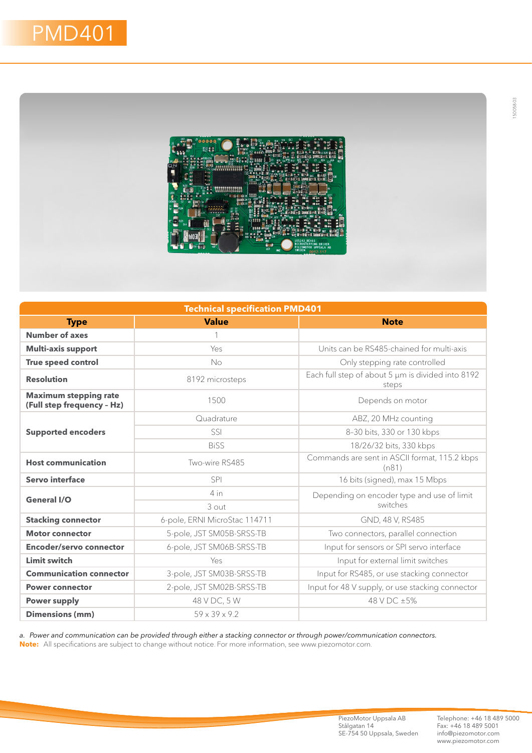

| <b>Technical specification PMD401</b>                      |                               |                                                            |
|------------------------------------------------------------|-------------------------------|------------------------------------------------------------|
| <b>Type</b>                                                | <b>Value</b>                  | <b>Note</b>                                                |
| <b>Number of axes</b>                                      | 1                             |                                                            |
| <b>Multi-axis support</b>                                  | Yes                           | Units can be RS485-chained for multi-axis                  |
| True speed control                                         | No                            | Only stepping rate controlled                              |
| <b>Resolution</b>                                          | 8192 microsteps               | Each full step of about 5 µm is divided into 8192<br>steps |
| <b>Maximum stepping rate</b><br>(Full step frequency - Hz) | 1500                          | Depends on motor                                           |
| <b>Supported encoders</b>                                  | Quadrature                    | ABZ, 20 MHz counting                                       |
|                                                            | SSI                           | 8-30 bits, 330 or 130 kbps                                 |
|                                                            | <b>BiSS</b>                   | 18/26/32 bits, 330 kbps                                    |
| <b>Host communication</b>                                  | Two-wire RS485                | Commands are sent in ASCII format, 115.2 kbps<br>(n81)     |
| Servo interface                                            | <b>SPI</b>                    | 16 bits (signed), max 15 Mbps                              |
| General I/O                                                | 4 in                          | Depending on encoder type and use of limit<br>switches     |
|                                                            | 3 out                         |                                                            |
| <b>Stacking connector</b>                                  | 6-pole, ERNI MicroStac 114711 | GND, 48 V, RS485                                           |
| <b>Motor connector</b>                                     | 5-pole, JST SM05B-SRSS-TB     | Two connectors, parallel connection                        |
| Encoder/servo connector                                    | 6-pole, JST SM06B-SRSS-TB     | Input for sensors or SPI servo interface                   |
| <b>Limit switch</b>                                        | Yes                           | Input for external limit switches                          |
| <b>Communication connector</b>                             | 3-pole, JST SM03B-SRSS-TB     | Input for RS485, or use stacking connector                 |
| <b>Power connector</b>                                     | 2-pole, JST SM02B-SRSS-TB     | Input for 48 V supply, or use stacking connector           |
| <b>Power supply</b>                                        | 48 V DC, 5 W                  | 48 V DC ±5%                                                |
| <b>Dimensions (mm)</b>                                     | $59 \times 39 \times 9.2$     |                                                            |

*a. Power and communication can be provided through either a stacking connector or through power/communication connectors.* **Note:** All specifications are subject to change without notice. For more information, see www.piezomotor.com.